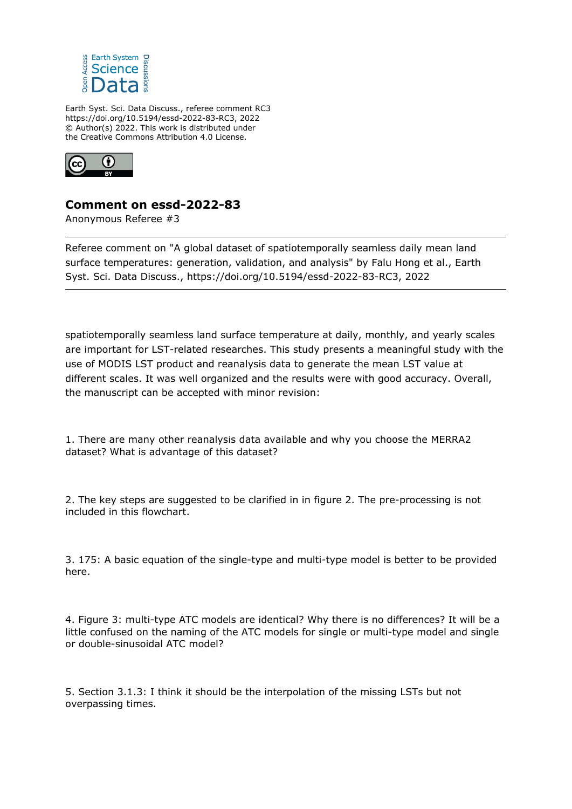

Earth Syst. Sci. Data Discuss., referee comment RC3 https://doi.org/10.5194/essd-2022-83-RC3, 2022 © Author(s) 2022. This work is distributed under the Creative Commons Attribution 4.0 License.



## **Comment on essd-2022-83**

Anonymous Referee #3

Referee comment on "A global dataset of spatiotemporally seamless daily mean land surface temperatures: generation, validation, and analysis" by Falu Hong et al., Earth Syst. Sci. Data Discuss., https://doi.org/10.5194/essd-2022-83-RC3, 2022

spatiotemporally seamless land surface temperature at daily, monthly, and yearly scales are important for LST-related researches. This study presents a meaningful study with the use of MODIS LST product and reanalysis data to generate the mean LST value at different scales. It was well organized and the results were with good accuracy. Overall, the manuscript can be accepted with minor revision:

1. There are many other reanalysis data available and why you choose the MERRA2 dataset? What is advantage of this dataset?

2. The key steps are suggested to be clarified in in figure 2. The pre-processing is not included in this flowchart.

3. 175: A basic equation of the single-type and multi-type model is better to be provided here.

4. Figure 3: multi-type ATC models are identical? Why there is no differences? It will be a little confused on the naming of the ATC models for single or multi-type model and single or double-sinusoidal ATC model?

5. Section 3.1.3: I think it should be the interpolation of the missing LSTs but not overpassing times.